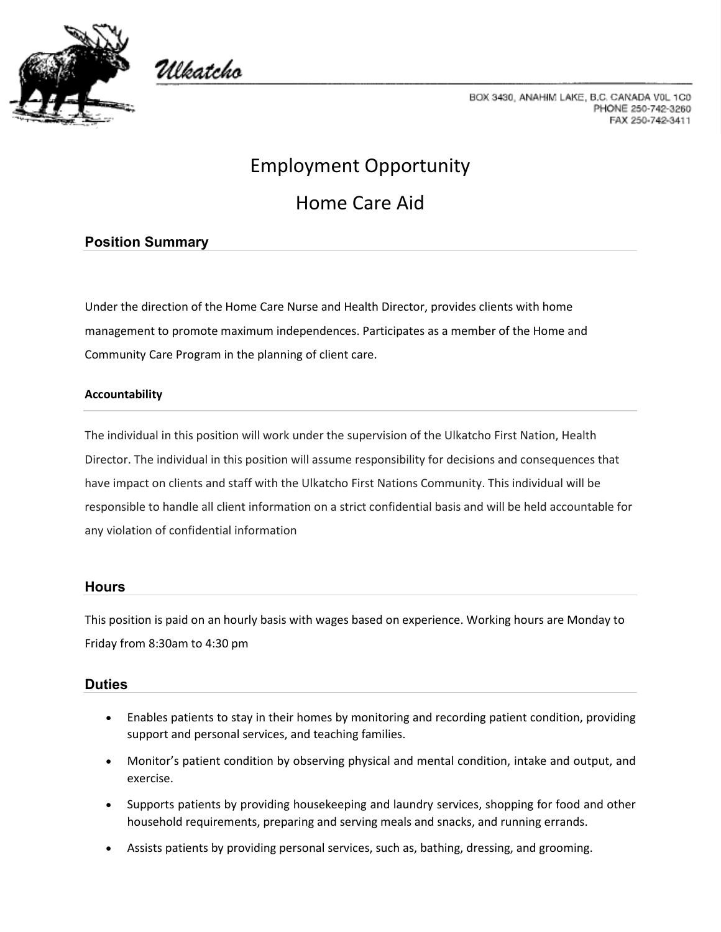

Ulkatcho

BOX 3430, ANAHIM LAKE, B.C. CANADA VOL 1C0 PHONE 250-742-3260 FAX 250-742-3411

# Employment Opportunity

Home Care Aid

# **Position Summary**

Under the direction of the Home Care Nurse and Health Director, provides clients with home management to promote maximum independences. Participates as a member of the Home and Community Care Program in the planning of client care.

#### **Accountability**

The individual in this position will work under the supervision of the Ulkatcho First Nation, Health Director. The individual in this position will assume responsibility for decisions and consequences that have impact on clients and staff with the Ulkatcho First Nations Community. This individual will be responsible to handle all client information on a strict confidential basis and will be held accountable for any violation of confidential information

## **Hours**

This position is paid on an hourly basis with wages based on experience. Working hours are Monday to Friday from 8:30am to 4:30 pm

## **Duties**

- Enables patients to stay in their homes by monitoring and recording patient condition, providing support and personal services, and teaching families.
- Monitor's patient condition by observing physical and mental condition, intake and output, and exercise.
- Supports patients by providing housekeeping and laundry services, shopping for food and other household requirements, preparing and serving meals and snacks, and running errands.
- Assists patients by providing personal services, such as, bathing, dressing, and grooming.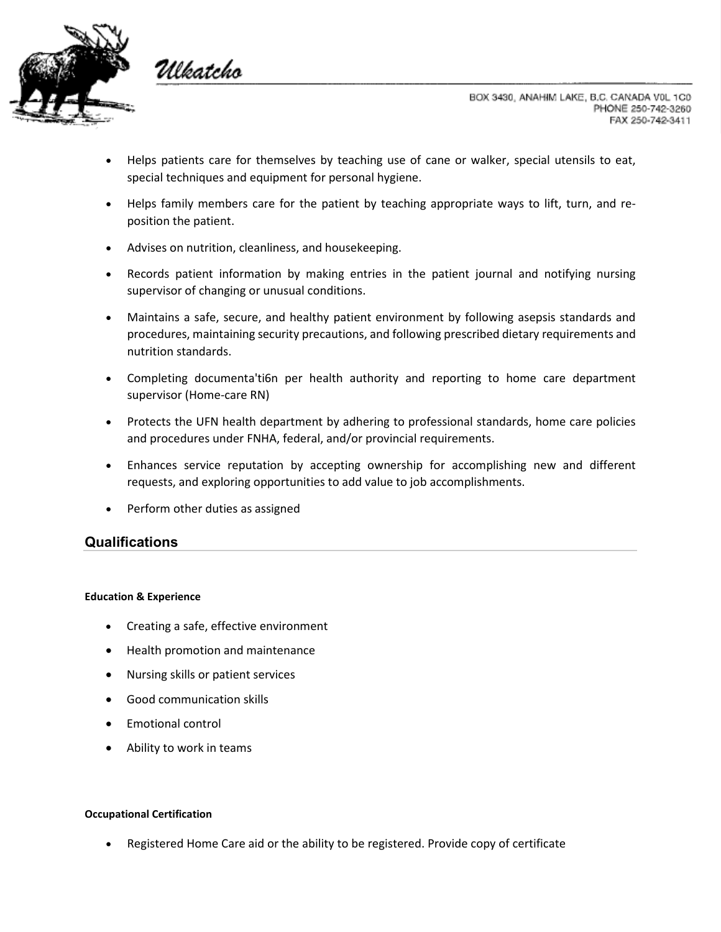

Ulkatcho

- Helps patients care for themselves by teaching use of cane or walker, special utensils to eat, special techniques and equipment for personal hygiene.
- Helps family members care for the patient by teaching appropriate ways to lift, turn, and reposition the patient.
- Advises on nutrition, cleanliness, and housekeeping.
- Records patient information by making entries in the patient journal and notifying nursing supervisor of changing or unusual conditions.
- Maintains a safe, secure, and healthy patient environment by following asepsis standards and procedures, maintaining security precautions, and following prescribed dietary requirements and nutrition standards.
- Completing documenta'ti6n per health authority and reporting to home care department supervisor (Home-care RN)
- Protects the UFN health department by adhering to professional standards, home care policies and procedures under FNHA, federal, and/or provincial requirements.
- Enhances service reputation by accepting ownership for accomplishing new and different requests, and exploring opportunities to add value to job accomplishments.
- Perform other duties as assigned

## **Qualifications**

#### **Education & Experience**

- Creating a safe, effective environment
- Health promotion and maintenance
- Nursing skills or patient services
- Good communication skills
- Emotional control
- Ability to work in teams

#### **Occupational Certification**

• Registered Home Care aid or the ability to be registered. Provide copy of certificate